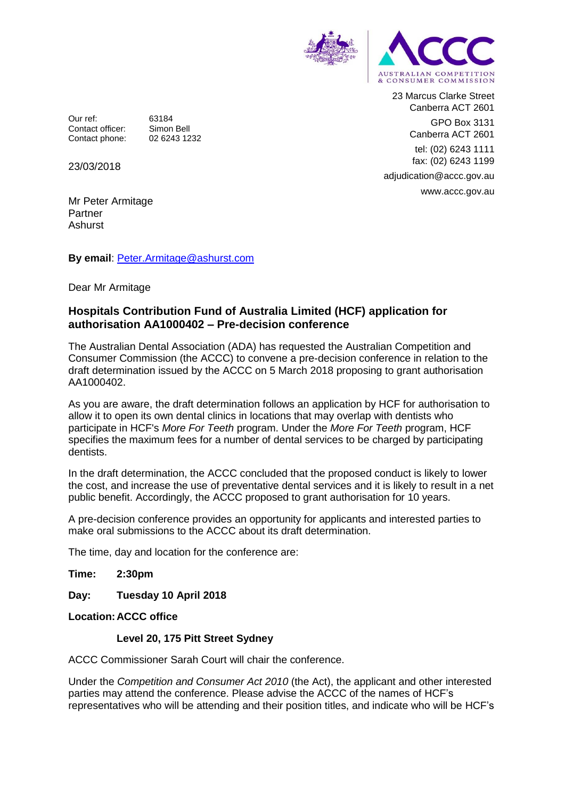

23 Marcus Clarke Street Canberra ACT 2601 GPO Box 3131 Canberra ACT 2601 tel: (02) 6243 1111 fax: (02) 6243 1199 adjudication@accc.gov.au www.accc.gov.au

Our ref: 63184<br>Contact officer: Simon Bell Contact officer: Contact phone: 02 6243 1232

23/03/2018

Mr Peter Armitage Partner Ashurst

**By email**:<Peter.Armitage@ashurst.com>

Dear Mr Armitage

## **Hospitals Contribution Fund of Australia Limited (HCF) application for authorisation AA1000402 – Pre-decision conference**

The Australian Dental Association (ADA) has requested the Australian Competition and Consumer Commission (the ACCC) to convene a pre-decision conference in relation to the draft determination issued by the ACCC on 5 March 2018 proposing to grant authorisation AA1000402.

As you are aware, the draft determination follows an application by HCF for authorisation to allow it to open its own dental clinics in locations that may overlap with dentists who participate in HCF's *More For Teeth* program. Under the *More For Teeth* program, HCF specifies the maximum fees for a number of dental services to be charged by participating dentists.

In the draft determination, the ACCC concluded that the proposed conduct is likely to lower the cost, and increase the use of preventative dental services and it is likely to result in a net public benefit. Accordingly, the ACCC proposed to grant authorisation for 10 years.

A pre-decision conference provides an opportunity for applicants and interested parties to make oral submissions to the ACCC about its draft determination.

The time, day and location for the conference are:

## **Time: 2:30pm**

**Day: Tuesday 10 April 2018**

**Location:ACCC office**

## **Level 20, 175 Pitt Street Sydney**

ACCC Commissioner Sarah Court will chair the conference.

Under the *Competition and Consumer Act 2010* (the Act), the applicant and other interested parties may attend the conference. Please advise the ACCC of the names of HCF's representatives who will be attending and their position titles, and indicate who will be HCF's